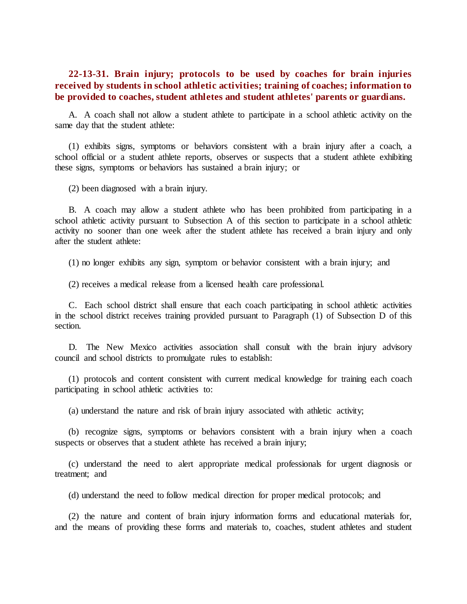## **22-13-31. Brain injury; protocols to be used by coaches for brain injuries received by students in school athletic activities; training of coaches; information to be provided to coaches, student athletes and student athletes' parents or guardians.**

A. A coach shall not allow a student athlete to participate in a school athletic activity on the same day that the student athlete:

(1) exhibits signs, symptoms or behaviors consistent with a brain injury after a coach, a school official or a student athlete reports, observes or suspects that a student athlete exhibiting these signs, symptoms or behaviors has sustained a brain injury; or

(2) been diagnosed with a brain injury.

B. A coach may allow a student athlete who has been prohibited from participating in a school athletic activity pursuant to Subsection A of this section to participate in a school athletic activity no sooner than one week after the student athlete has received a brain injury and only after the student athlete:

(1) no longer exhibits any sign, symptom or behavior consistent with a brain injury; and

(2) receives a medical release from a licensed health care professional.

C. Each school district shall ensure that each coach participating in school athletic activities in the school district receives training provided pursuant to Paragraph (1) of Subsection D of this section.

D. The New Mexico activities association shall consult with the brain injury advisory council and school districts to promulgate rules to establish:

(1) protocols and content consistent with current medical knowledge for training each coach participating in school athletic activities to:

(a) understand the nature and risk of brain injury associated with athletic activity;

(b) recognize signs, symptoms or behaviors consistent with a brain injury when a coach suspects or observes that a student athlete has received a brain injury;

(c) understand the need to alert appropriate medical professionals for urgent diagnosis or treatment; and

(d) understand the need to follow medical direction for proper medical protocols; and

(2) the nature and content of brain injury information forms and educational materials for, and the means of providing these forms and materials to, coaches, student athletes and student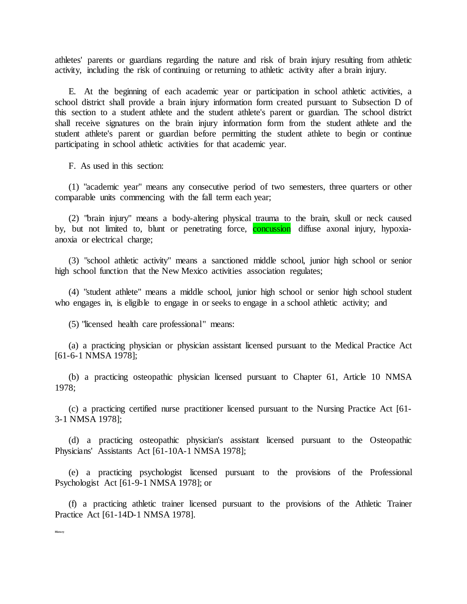athletes' parents or guardians regarding the nature and risk of brain injury resulting from athletic activity, including the risk of continuing or returning to athletic activity after a brain injury.

E. At the beginning of each academic year or participation in school athletic activities, a school district shall provide a brain injury information form created pursuant to Subsection D of this section to a student athlete and the student athlete's parent or guardian. The school district shall receive signatures on the brain injury information form from the student athlete and the student athlete's parent or guardian before permitting the student athlete to begin or continue participating in school athletic activities for that academic year.

F. As used in this section:

(1) "academic year" means any consecutive period of two semesters, three quarters or other comparable units commencing with the fall term each year;

(2) "brain injury" means a body-altering physical trauma to the brain, skull or neck caused by, but not limited to, blunt or penetrating force, **concussion** diffuse axonal injury, hypoxiaanoxia or electrical charge;

(3) "school athletic activity" means a sanctioned middle school, junior high school or senior high school function that the New Mexico activities association regulates;

(4) "student athlete" means a middle school, junior high school or senior high school student who engages in, is eligible to engage in or seeks to engage in a school athletic activity; and

(5) "licensed health care professional" means:

(a) a practicing physician or physician assistant licensed pursuant to the Medical Practice Act [61-6-1 NMSA 1978];

(b) a practicing osteopathic physician licensed pursuant to Chapter 61, Article 10 NMSA 1978;

(c) a practicing certified nurse practitioner licensed pursuant to the Nursing Practice Act [61- 3-1 NMSA 1978];

(d) a practicing osteopathic physician's assistant licensed pursuant to the Osteopathic Physicians' Assistants Act [61-10A-1 NMSA 1978];

(e) a practicing psychologist licensed pursuant to the provisions of the Professional Psychologist Act [61-9-1 NMSA 1978]; or

(f) a practicing athletic trainer licensed pursuant to the provisions of the Athletic Trainer Practice Act [61-14D-1 NMSA 1978].

**History**